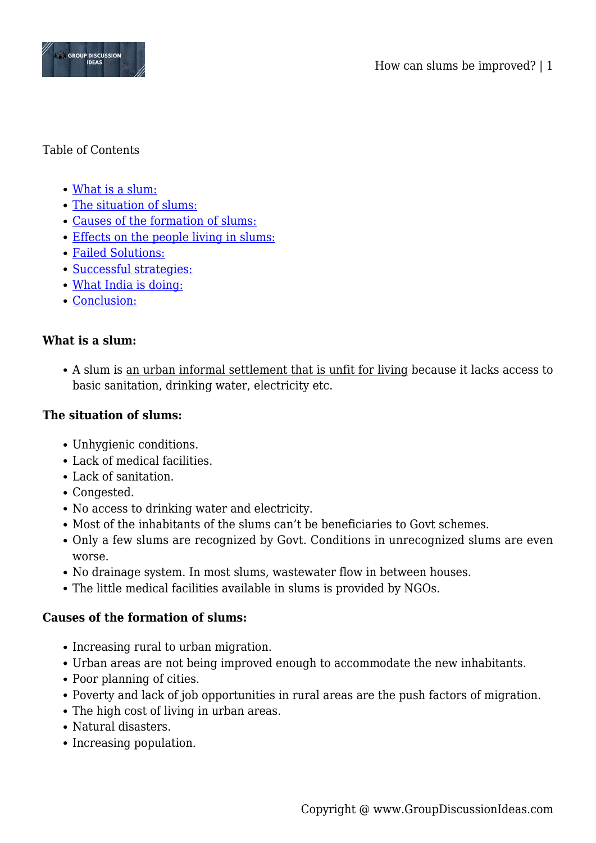

# Table of Contents

- [What is a slum:](#page--1-0)
- [The situation of slums:](#page--1-0)
- [Causes of the formation of slums:](#page--1-0)
- [Effects on the people living in slums:](#page--1-0)
- [Failed Solutions:](#page--1-0)
- [Successful strategies:](#page--1-0)
- [What India is doing:](#page--1-0)
- [Conclusion:](#page--1-0)

# **What is a slum:**

A slum is an urban informal settlement that is unfit for living because it lacks access to basic sanitation, drinking water, electricity etc.

#### **The situation of slums:**

- Unhygienic conditions.
- Lack of medical facilities.
- Lack of sanitation.
- Congested.
- No access to drinking water and electricity.
- Most of the inhabitants of the slums can't be beneficiaries to Govt schemes.
- Only a few slums are recognized by Govt. Conditions in unrecognized slums are even worse.
- No drainage system. In most slums, wastewater flow in between houses.
- The little medical facilities available in slums is provided by NGOs.

### **Causes of the formation of slums:**

- Increasing rural to urban migration.
- Urban areas are not being improved enough to accommodate the new inhabitants.
- Poor planning of cities.
- Poverty and lack of job opportunities in rural areas are the push factors of migration.
- The high cost of living in urban areas.
- Natural disasters.
- Increasing population.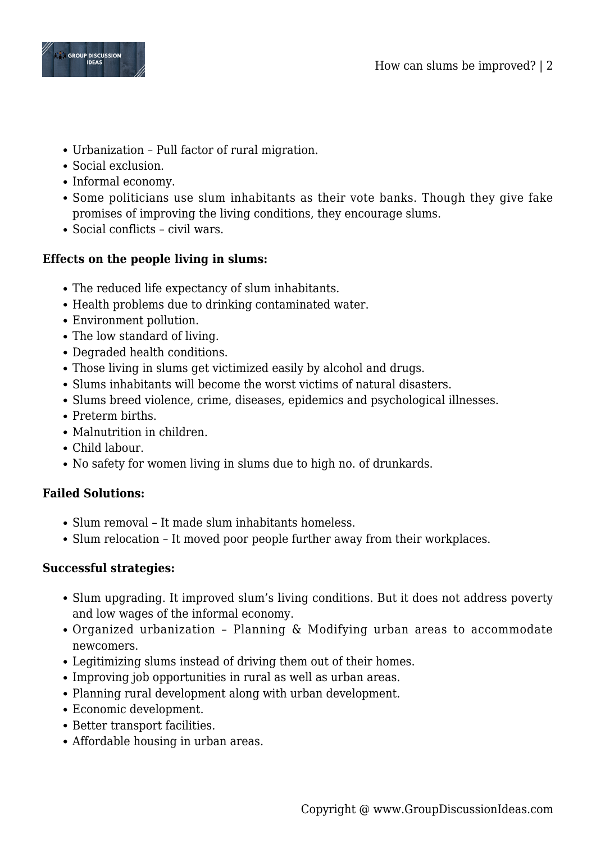

- Urbanization Pull factor of rural migration.
- Social exclusion.
- Informal economy.
- Some politicians use slum inhabitants as their vote banks. Though they give fake promises of improving the living conditions, they encourage slums.
- Social conflicts civil wars.

# **Effects on the people living in slums:**

- The reduced life expectancy of slum inhabitants.
- Health problems due to drinking contaminated water.
- Environment pollution.
- The low standard of living.
- Degraded health conditions.
- Those living in slums get victimized easily by alcohol and drugs.
- Slums inhabitants will become the worst victims of natural disasters.
- Slums breed violence, crime, diseases, epidemics and psychological illnesses.
- Preterm births.
- Malnutrition in children.
- Child labour.
- No safety for women living in slums due to high no. of drunkards.

# **Failed Solutions:**

- Slum removal It made slum inhabitants homeless.
- Slum relocation It moved poor people further away from their workplaces.

### **Successful strategies:**

- Slum upgrading. It improved slum's living conditions. But it does not address poverty and low wages of the informal economy.
- Organized urbanization Planning & Modifying urban areas to accommodate newcomers.
- Legitimizing slums instead of driving them out of their homes.
- Improving job opportunities in rural as well as urban areas.
- Planning rural development along with urban development.
- Economic development.
- Better transport facilities.
- Affordable housing in urban areas.